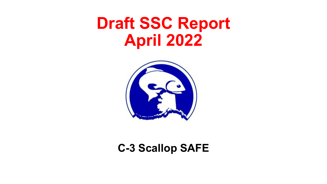# **Draft SSC Report April 2022**



#### **C-3 Scallop SAFE**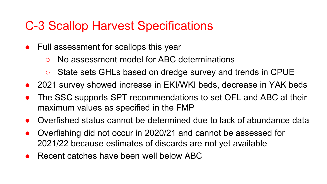# C-3 Scallop Harvest Specifications

- Full assessment for scallops this year
	- No assessment model for ABC determinations
	- State sets GHLs based on dredge survey and trends in CPUE
- 2021 survey showed increase in EKI/WKI beds, decrease in YAK beds
- The SSC supports SPT recommendations to set OFL and ABC at their maximum values as specified in the FMP
- Overfished status cannot be determined due to lack of abundance data
- Overfishing did not occur in 2020/21 and cannot be assessed for 2021/22 because estimates of discards are not yet available
- Recent catches have been well below ABC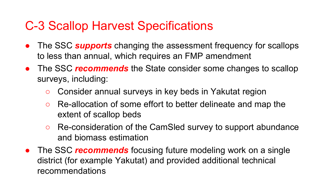# C-3 Scallop Harvest Specifications

- The SSC **supports** changing the assessment frequency for scallops to less than annual, which requires an FMP amendment
- The SSC *recommends* the State consider some changes to scallop surveys, including:
	- Consider annual surveys in key beds in Yakutat region
	- Re-allocation of some effort to better delineate and map the extent of scallop beds
	- Re-consideration of the CamSled survey to support abundance and biomass estimation
- **•** The SSC *recommends* focusing future modeling work on a single district (for example Yakutat) and provided additional technical recommendations